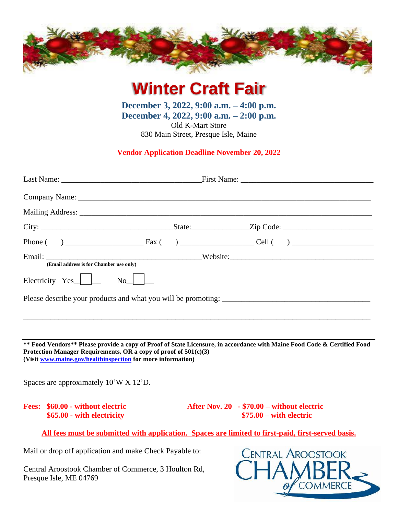

**Winter Craft Fair**

**December 3, 2022, 9:00 a.m. – 4:00 p.m. December 4, 2022, 9:00 a.m. – 2:00 p.m.** Old K-Mart Store 830 Main Street, Presque Isle, Maine

## **Vendor Application Deadline November 20, 2022**

| (Email address is for Chamber use only)                                                                                                                                                                                                                       |                                                                |  |                                                                                   |  |
|---------------------------------------------------------------------------------------------------------------------------------------------------------------------------------------------------------------------------------------------------------------|----------------------------------------------------------------|--|-----------------------------------------------------------------------------------|--|
| Electricity $Yes$<br>$\overline{N_0}$                                                                                                                                                                                                                         |                                                                |  |                                                                                   |  |
| Please describe your products and what you will be promoting:                                                                                                                                                                                                 |                                                                |  |                                                                                   |  |
|                                                                                                                                                                                                                                                               |                                                                |  |                                                                                   |  |
|                                                                                                                                                                                                                                                               |                                                                |  |                                                                                   |  |
| ** Food Vendors** Please provide a copy of Proof of State Licensure, in accordance with Maine Food Code & Certified Food<br>Protection Manager Requirements, OR a copy of proof of $501(c)(3)$<br>(Visit www.maine.gov/healthinspection for more information) |                                                                |  |                                                                                   |  |
| Spaces are approximately 10'W X 12'D.                                                                                                                                                                                                                         |                                                                |  |                                                                                   |  |
|                                                                                                                                                                                                                                                               | Fees: \$60.00 - without electric<br>\$65.00 - with electricity |  | After Nov. $20 \rightarrow $70.00$ – without electric<br>$$75.00 - with electric$ |  |
| All fees must be submitted with application. Spaces are limited to first-paid, first-served basis.                                                                                                                                                            |                                                                |  |                                                                                   |  |

Mail or drop off application and make Check Payable to:

Central Aroostook Chamber of Commerce, 3 Houlton Rd, Presque Isle, ME 04769